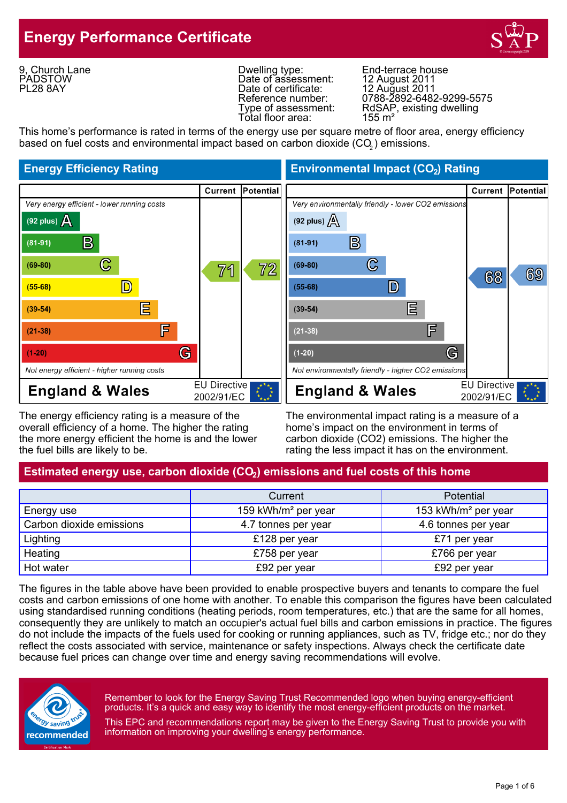## **Energy Performance Certificate**



9, Church Lane **PADSTOW** PL28 8AY

Dwelling type: End-terrace house Date of assessment:<br>Date of certificate: Date of certificate: 12 August 2011 Total floor area:

Reference number: 0788-2892-6482-9299-5575 Type of assessment: RdSAP, existing dwelling<br>Total floor area: 155 m<sup>2</sup>

This home's performance is rated in terms of the energy use per square metre of floor area, energy efficiency based on fuel costs and environmental impact based on carbon dioxide (CO $_{\rm 2}$ ) emissions.



The energy efficiency rating is a measure of the The environmental impact rating is a measure of a overall efficiency of a home. The higher the rating home's impact on the environment in terms of the more energy efficient the home is and the lower carbon dioxide (CO2) emissions. The higher the the fuel bills are likely to be. The rating the less impact it has on the environment.

**Energy Efficiency Rating Environmental Impact (CO<sub>2</sub>) Rating** 



#### Estimated energy use, carbon dioxide (CO<sub>2</sub>) emissions and fuel costs of this home

|                          | Current                         | <b>Potential</b>                |
|--------------------------|---------------------------------|---------------------------------|
| Energy use               | 159 kWh/m <sup>2</sup> per year | 153 kWh/m <sup>2</sup> per year |
| Carbon dioxide emissions | 4.7 tonnes per year             | 4.6 tonnes per year             |
| Lighting                 | £128 per year                   | £71 per year                    |
| Heating                  | £758 per year                   | £766 per year                   |
| Hot water                | £92 per year                    | £92 per year                    |

The figures in the table above have been provided to enable prospective buyers and tenants to compare the fuel costs and carbon emissions of one home with another. To enable this comparison the figures have been calculated using standardised running conditions (heating periods, room temperatures, etc.) that are the same for all homes, consequently they are unlikely to match an occupier's actual fuel bills and carbon emissions in practice. The figures do not include the impacts of the fuels used for cooking or running appliances, such as TV, fridge etc.; nor do they reflect the costs associated with service, maintenance or safety inspections. Always check the certificate date because fuel prices can change over time and energy saving recommendations will evolve.



Remember to look for the Energy Saving Trust Recommended logo when buying energy-efficient products. It's a quick and easy way to identify the most energy-efficient products on the market.

This EPC and recommendations report may be given to the Energy Saving Trust to provide you with information on improving your dwelling's energy performance.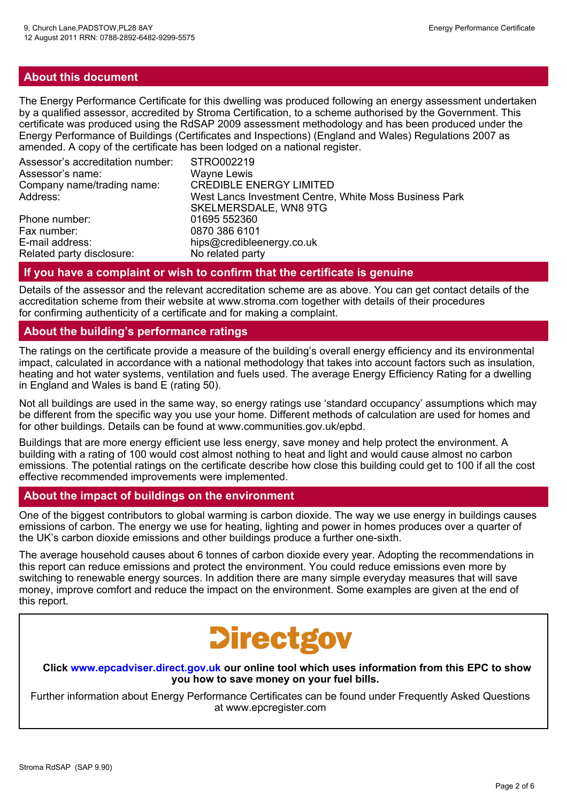#### **About this document**

The Energy Performance Certificate for this dwelling was produced following an energy assessment undertaken by a qualified assessor, accredited by Stroma Certification, to a scheme authorised by the Government. This certificate was produced using the RdSAP 2009 assessment methodology and has been produced under the Energy Performance of Buildings (Certificates and Inspections) (England and Wales) Regulations 2007 as amended. A copy of the certificate has been lodged on a national register.

| Assessor's accreditation number:<br>Assessor's name: | STRO002219<br><b>Wayne Lewis</b>                       |
|------------------------------------------------------|--------------------------------------------------------|
| Company name/trading name:                           | <b>CREDIBLE ENERGY LIMITED</b>                         |
| Address:                                             | West Lancs Investment Centre, White Moss Business Park |
|                                                      | SKELMERSDALE, WN8 9TG                                  |
| Phone number:                                        | 01695 552360                                           |
| Fax number:                                          | 0870 386 6101                                          |
| E-mail address:                                      | hips@credibleenergy.co.uk                              |
| Related party disclosure:                            | No related party                                       |

#### **If you have a complaint or wish to confirm that the certificate is genuine**

Details of the assessor and the relevant accreditation scheme are as above. You can get contact details of the accreditation scheme from their website at www.stroma.com together with details of their procedures for confirming authenticity of a certificate and for making a complaint.

#### **About the building's performance ratings**

The ratings on the certificate provide a measure of the building's overall energy efficiency and its environmental impact, calculated in accordance with a national methodology that takes into account factors such as insulation, heating and hot water systems, ventilation and fuels used. The average Energy Efficiency Rating for a dwelling in England and Wales is band E (rating 50).

Not all buildings are used in the same way, so energy ratings use 'standard occupancy' assumptions which may be different from the specific way you use your home. Different methods of calculation are used for homes and for other buildings. Details can be found at www.communities.gov.uk/epbd.

Buildings that are more energy efficient use less energy, save money and help protect the environment. A building with a rating of 100 would cost almost nothing to heat and light and would cause almost no carbon emissions. The potential ratings on the certificate describe how close this building could get to 100 if all the cost effective recommended improvements were implemented.

#### **About the impact of buildings on the environment**

One of the biggest contributors to global warming is carbon dioxide. The way we use energy in buildings causes emissions of carbon. The energy we use for heating, lighting and power in homes produces over a quarter of the UK's carbon dioxide emissions and other buildings produce a further one-sixth.

The average household causes about 6 tonnes of carbon dioxide every year. Adopting the recommendations in this report can reduce emissions and protect the environment. You could reduce emissions even more by switching to renewable energy sources. In addition there are many simple everyday measures that will save money, improve comfort and reduce the impact on the environment. Some examples are given at the end of this report.

# **Directgov**

**Click www.epcadviser.direct.gov.uk our online tool which uses information from this EPC to show you how to save money on your fuel bills.**

Further information about Energy Performance Certificates can be found under Frequently Asked Questions at www.epcregister.com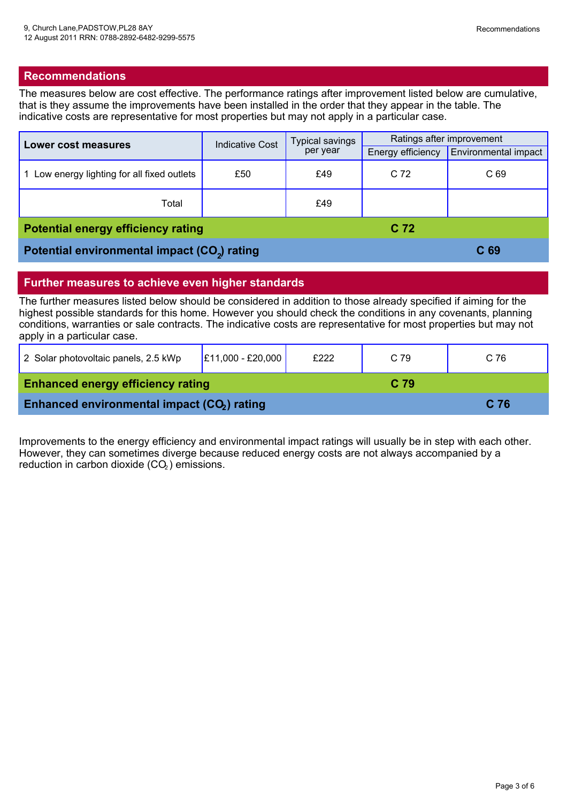#### **Recommendations**

The measures below are cost effective. The performance ratings after improvement listed below are cumulative, that is they assume the improvements have been installed in the order that they appear in the table. The indicative costs are representative for most properties but may not apply in a particular case.

| Lower cost measures                                      | <b>Indicative Cost</b> | Typical savings<br>per year | Ratings after improvement |                      |
|----------------------------------------------------------|------------------------|-----------------------------|---------------------------|----------------------|
|                                                          |                        |                             | Energy efficiency         | Environmental impact |
| Low energy lighting for all fixed outlets                | £50                    | £49                         | C <sub>72</sub>           | C <sub>69</sub>      |
| Total                                                    |                        | £49                         |                           |                      |
| <b>Potential energy efficiency rating</b>                |                        |                             | C <sub>72</sub>           |                      |
| Potential environmental impact (CO <sub>2</sub> ) rating |                        |                             | C 69                      |                      |

#### **Further measures to achieve even higher standards**

The further measures listed below should be considered in addition to those already specified if aiming for the highest possible standards for this home. However you should check the conditions in any covenants, planning conditions, warranties or sale contracts. The indicative costs are representative for most properties but may not apply in a particular case.

| 2 Solar photovoltaic panels, 2.5 kWp                    | $E11,000 - E20,000$ | £222            | C 79            | C 76 |
|---------------------------------------------------------|---------------------|-----------------|-----------------|------|
| <b>Enhanced energy efficiency rating</b>                |                     | C <sub>79</sub> |                 |      |
| Enhanced environmental impact (CO <sub>2</sub> ) rating |                     |                 | C <sub>76</sub> |      |

Improvements to the energy efficiency and environmental impact ratings will usually be in step with each other. However, they can sometimes diverge because reduced energy costs are not always accompanied by a reduction in carbon dioxide  $(CO<sub>2</sub>)$  emissions.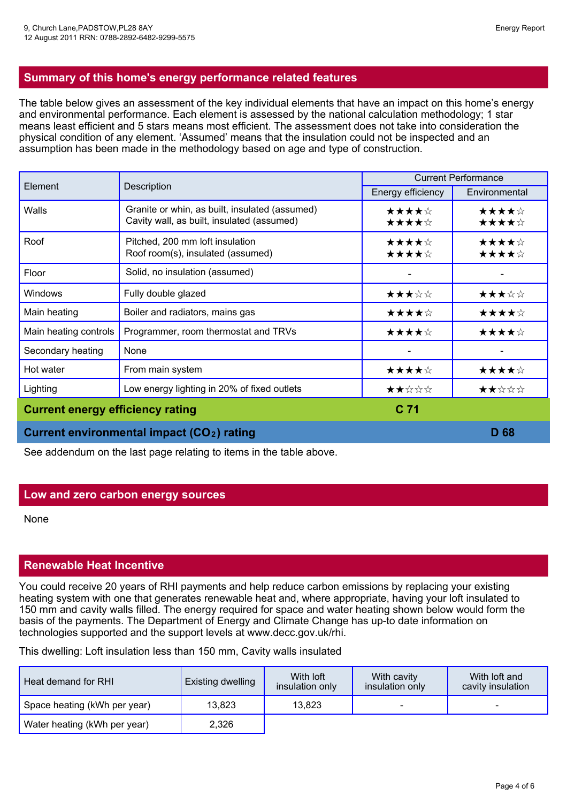The table below gives an assessment of the key individual elements that have an impact on this home's energy and environmental performance. Each element is assessed by the national calculation methodology; 1 star means least efficient and 5 stars means most efficient. The assessment does not take into consideration the physical condition of any element. 'Assumed' means that the insulation could not be inspected and an assumption has been made in the methodology based on age and type of construction.

| Element                                 |                                                                                              | <b>Current Performance</b> |                |
|-----------------------------------------|----------------------------------------------------------------------------------------------|----------------------------|----------------|
|                                         | Description                                                                                  | Energy efficiency          | Environmental  |
| Walls                                   | Granite or whin, as built, insulated (assumed)<br>Cavity wall, as built, insulated (assumed) | ★★★★☆<br>★★★★☆             | ★★★★☆<br>★★★★☆ |
| Roof                                    | Pitched, 200 mm loft insulation<br>Roof room(s), insulated (assumed)                         | ★★★★☆<br>★★★★☆             | ★★★★☆<br>★★★★☆ |
| Floor                                   | Solid, no insulation (assumed)                                                               |                            |                |
| Windows                                 | Fully double glazed                                                                          | ★★★☆☆                      | ★★★☆☆          |
| Main heating                            | Boiler and radiators, mains gas                                                              | ★★★★☆                      | ★★★★☆          |
| Main heating controls                   | Programmer, room thermostat and TRVs                                                         | ★★★★☆                      | ★★★★☆          |
| Secondary heating                       | None                                                                                         |                            |                |
| Hot water                               | From main system                                                                             | ★★★★☆                      | ★★★★☆          |
| Lighting                                | Low energy lighting in 20% of fixed outlets                                                  | ★★☆☆☆                      | ★★☆☆☆          |
| <b>Current energy efficiency rating</b> |                                                                                              | C <sub>71</sub>            |                |
|                                         | Current environmental impact (CO <sub>2</sub> ) rating                                       |                            | D 68           |

See addendum on the last page relating to items in the table above.

#### **Low and zero carbon energy sources**

None

#### **Renewable Heat Incentive**

You could receive 20 years of RHI payments and help reduce carbon emissions by replacing your existing heating system with one that generates renewable heat and, where appropriate, having your loft insulated to 150 mm and cavity walls filled. The energy required for space and water heating shown below would form the basis of the payments. The Department of Energy and Climate Change has up-to date information on technologies supported and the support levels at www.decc.gov.uk/rhi.

This dwelling: Loft insulation less than 150 mm, Cavity walls insulated

| Heat demand for RHI          | <b>Existing dwelling</b> | With <b>loft</b><br>insulation only | With cavity<br>insulation only | With loft and<br>cavity insulation |
|------------------------------|--------------------------|-------------------------------------|--------------------------------|------------------------------------|
| Space heating (kWh per year) | 13,823                   | 13,823                              | -                              | -                                  |
| Water heating (kWh per year) | 2,326                    |                                     |                                |                                    |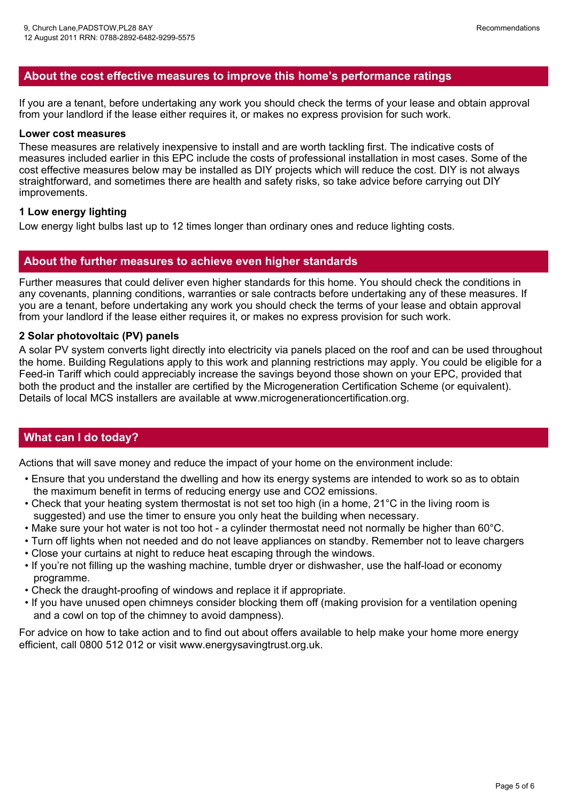#### **About the cost effective measures to improve this home's performance ratings**

If you are a tenant, before undertaking any work you should check the terms of your lease and obtain approval from your landlord if the lease either requires it, or makes no express provision for such work.

#### **Lower cost measures**

These measures are relatively inexpensive to install and are worth tackling first. The indicative costs of measures included earlier in this EPC include the costs of professional installation in most cases. Some of the cost effective measures below may be installed as DIY projects which will reduce the cost. DIY is not always straightforward, and sometimes there are health and safety risks, so take advice before carrying out DIY improvements.

#### **1 Low energy lighting**

Low energy light bulbs last up to 12 times longer than ordinary ones and reduce lighting costs.

#### **About the further measures to achieve even higher standards**

Further measures that could deliver even higher standards for this home. You should check the conditions in any covenants, planning conditions, warranties or sale contracts before undertaking any of these measures. If you are a tenant, before undertaking any work you should check the terms of your lease and obtain approval from your landlord if the lease either requires it, or makes no express provision for such work.

#### **2 Solar photovoltaic (PV) panels**

A solar PV system converts light directly into electricity via panels placed on the roof and can be used throughout the home. Building Regulations apply to this work and planning restrictions may apply. You could be eligible for <sup>a</sup> Feed-in Tariff which could appreciably increase the savings beyond those shown on your EPC, provided that both the product and the installer are certified by the Microgeneration Certification Scheme (or equivalent). Details of local MCS installers are available at www.microgenerationcertification.org.

#### **What can I do today?**

Actions that will save money and reduce the impact of your home on the environment include:

- Ensure that you understand the dwelling and how its energy systems are intended to work so as to obtain the maximum benefit in terms of reducing energy use and CO2 emissions.
- Check that your heating system thermostat is not set too high (in a home, 21°C in the living room is suggested) and use the timer to ensure you only heat the building when necessary.
- Make sure your hot water is not too hot a cylinder thermostat need not normally be higher than 60°C.
- Turn off lights when not needed and do not leave appliances on standby. Remember not to leave chargers
- Close your curtains at night to reduce heat escaping through the windows.
- If you're not filling up the washing machine, tumble dryer or dishwasher, use the half-load or economy programme.
- Check the draught-proofing of windows and replace it if appropriate.
- If you have unused open chimneys consider blocking them off (making provision for a ventilation opening and a cowl on top of the chimney to avoid dampness).

For advice on how to take action and to find out about offers available to help make your home more energy efficient, call 0800 512 012 or visit www.energysavingtrust.org.uk.